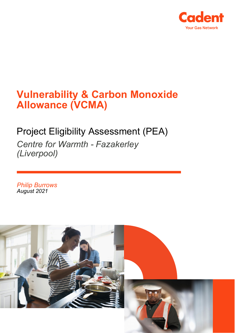

# **Vulnerability & Carbon Monoxide Allowance (VCMA)**

# Project Eligibility Assessment (PEA)

*Centre for Warmth - Fazakerley (Liverpool)*

*Philip Burrows August 2021*

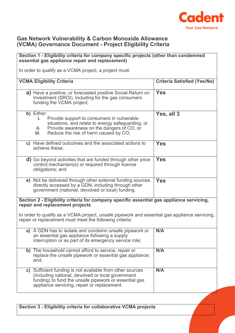

### **Gas Network Vulnerability & Carbon Monoxide Allowance (VCMA) Governance Document - Project Eligibility Criteria**

#### **Section 1 - Eligibility criteria for company specific projects (other than condemned essential gas appliance repair and replacement)** In order to qualify as a VCMA project, a project must: **VCMA Eligibility Criteria Criteria Satisfied (Yes/No) a)** Have a positive, or forecasted positive Social Return on Investment (SROI), including for the gas consumers funding the VCMA project; **Yes b)** Either: **i.** Provide support to consumers in vulnerable situations, and relate to energy safeguarding, or **ii.** Provide awareness on the dangers of CO, or<br>**iii.** Reduce the risk of harm caused by CO. Reduce the risk of harm caused by CO; **Yes, all 3 c)** Have defined outcomes and the associated actions to achieve these; **Yes d)** Go beyond activities that are funded through other price control mechanism(s) or required through licence obligations; and **Yes e)** Not be delivered through other external funding sources directly accessed by a GDN, including through other government (national, devolved or local) funding. **Yes Section 2 - Eligibility criteria for company specific essential gas appliance servicing, repair and replacement projects** In order to qualify as a VCMA project, unsafe pipework and essential gas appliance servicing, repair or replacement must meet the following criteria: **a)** A GDN has to isolate and condemn unsafe pipework or an essential gas appliance following a supply interruption or as part of its emergency service role; **N/A b)** The household cannot afford to service, repair or replace the unsafe pipework or essential gas appliance; and; **N/A c)** Sufficient funding is not available from other sources (including national, devolved or local government funding) to fund the unsafe pipework or essential gas appliance servicing, repair or replacement. **N/A**

**Section 3 - Eligibility criteria for collaborative VCMA projects**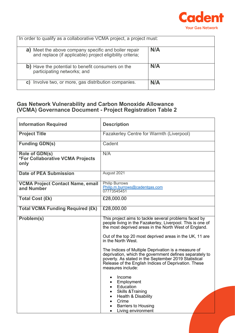

| In order to qualify as a collaborative VCMA project, a project must:                                                 |     |  |
|----------------------------------------------------------------------------------------------------------------------|-----|--|
| Meet the above company specific and boiler repair<br>a)<br>and replace (if applicable) project eligibility criteria; | N/A |  |
| b) Have the potential to benefit consumers on the<br>participating networks; and                                     | N/A |  |
| Involve two, or more, gas distribution companies.<br>C)                                                              | N/A |  |

# **Gas Network Vulnerability and Carbon Monoxide Allowance (VCMA) Governance Document - Project Registration Table 2**

| <b>Information Required</b>                                       | <b>Description</b>                                                                                                                                                                                                                                  |
|-------------------------------------------------------------------|-----------------------------------------------------------------------------------------------------------------------------------------------------------------------------------------------------------------------------------------------------|
| <b>Project Title</b>                                              | <b>Fazakerley Centre for Warmth (Liverpool)</b>                                                                                                                                                                                                     |
| <b>Funding GDN(s)</b>                                             | Cadent                                                                                                                                                                                                                                              |
| Role of GDN(s)<br><b>*For Collaborative VCMA Projects</b><br>only | N/A                                                                                                                                                                                                                                                 |
| <b>Date of PEA Submission</b>                                     | August 2021                                                                                                                                                                                                                                         |
| <b>VCMA Project Contact Name, email</b><br>and Number             | <b>Philip Burrows</b><br>Philip.m.burrows@cadentgas.com<br>07773545451                                                                                                                                                                              |
| <b>Total Cost (£k)</b>                                            | £28,000.00                                                                                                                                                                                                                                          |
| <b>Total VCMA Funding Required (£k)</b>                           | £28,000.00                                                                                                                                                                                                                                          |
| Problem(s)                                                        | This project aims to tackle several problems faced by<br>people living in the Fazakerley, Liverpool. This is one of<br>the most deprived areas in the North West of England.                                                                        |
|                                                                   | Out of the top 20 most deprived areas in the UK, 11 are<br>in the North West.                                                                                                                                                                       |
|                                                                   | The Indices of Multiple Deprivation is a measure of<br>deprivation, which the government defines separately to<br>poverty. As stated in the September 2019 Statistical<br>Release of the English Indices of Deprivation. These<br>measures include: |
|                                                                   | Income<br>$\bullet$<br>Employment<br>$\bullet$<br>Education<br>$\bullet$<br><b>Skills &amp; Training</b><br>Health & Disability<br>Crime<br><b>Barriers to Housing</b><br>Living environment<br>$\bullet$                                           |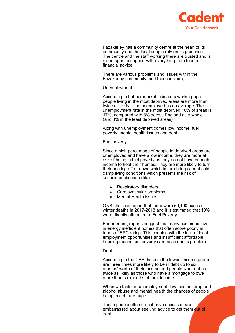

| Fazakerley has a community centre at the heart of its<br>community and the local people rely on its presence.<br>The centre and the staff working there are trusted and is<br>relied upon to support with everything from food to<br>financial advice.                                                                                                                                |
|---------------------------------------------------------------------------------------------------------------------------------------------------------------------------------------------------------------------------------------------------------------------------------------------------------------------------------------------------------------------------------------|
| There are various problems and issues within the<br>Fazakerley community, and these include;                                                                                                                                                                                                                                                                                          |
| Unemployment                                                                                                                                                                                                                                                                                                                                                                          |
| According to Labour market indicators working-age<br>people living in the most deprived areas are more than<br>twice as likely to be unemployed as on average: The<br>unemployment rate in the most deprived 10% of areas is<br>17%, compared with 8% across England as a whole<br>(and 4% in the least deprived areas)                                                               |
| Along with unemployment comes low income, fuel<br>poverty, mental health issues and debt.                                                                                                                                                                                                                                                                                             |
| <b>Fuel poverty</b>                                                                                                                                                                                                                                                                                                                                                                   |
| Since a high percentage of people in deprived areas are<br>unemployed and have a low income, they are more at<br>risk of being in fuel poverty as they do not have enough<br>income to heat their homes. They are more likely to turn<br>their heating off or down which in turn brings about cold,<br>damp living conditions which presents the risk of<br>associated diseases like: |
| <b>Respiratory disorders</b><br>Cardiovascular problems<br><b>Mental Health issues</b>                                                                                                                                                                                                                                                                                                |
| ONS statistics report that there were 50,100 excess<br>winter deaths in 2017-2018 and it is estimated that 10%<br>were directly attributed to Fuel Poverty.                                                                                                                                                                                                                           |
| Furthermore, reports suggest that many customers live<br>in energy inefficient homes that often score poorly in<br>terms of EPC rating. This coupled with the lack of local<br>employment opportunities and insufficient affordable<br>housing means fuel poverty can be a serious problem.                                                                                           |
| Debt                                                                                                                                                                                                                                                                                                                                                                                  |
| According to the CAB those in the lowest income group<br>are three times more likely to be in debt up to six<br>months' worth of their income and people who rent are<br>twice as likely as those who have a mortgage to owe<br>more than six months of their income.                                                                                                                 |
| When we factor in unemployment, low income, drug and<br>alcohol abuse and mental health the chances of people<br>being in debt are huge.                                                                                                                                                                                                                                              |
| These people often do not have access or are<br>embarrassed about seeking advice to get them out of<br>debt.                                                                                                                                                                                                                                                                          |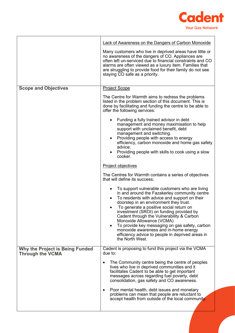

|                                                                   | <b>Lack of Awareness on the Dangers of Carbon Monoxide</b><br>Many customers who live in deprived areas have little or<br>no awareness of the dangers of CO. Appliances are<br>often left un-serviced due to financial constraints and CO<br>alarms are often viewed as a luxury item. Families that<br>are struggling to provide food for their family do not see<br>staying CO safe as a priority.                                                                                                                                                                 |
|-------------------------------------------------------------------|----------------------------------------------------------------------------------------------------------------------------------------------------------------------------------------------------------------------------------------------------------------------------------------------------------------------------------------------------------------------------------------------------------------------------------------------------------------------------------------------------------------------------------------------------------------------|
| <b>Scope and Objectives</b>                                       | <b>Project Scope</b>                                                                                                                                                                                                                                                                                                                                                                                                                                                                                                                                                 |
|                                                                   | The Centre for Warmth aims to redress the problems<br>listed in the problem section of this document. This is<br>done by facilitating and funding the centre to be able to<br>offer the following services:                                                                                                                                                                                                                                                                                                                                                          |
|                                                                   | Funding a fully trained advisor in debt<br>$\bullet$<br>management and money maximisation to help<br>support with unclaimed benefit, debt<br>management and switching.<br>Providing people with access to energy<br>efficiency, carbon monoxide and home gas safety<br>advice;<br>Providing people with skills to cook using a slow<br>cooker.                                                                                                                                                                                                                       |
|                                                                   | Project objectives                                                                                                                                                                                                                                                                                                                                                                                                                                                                                                                                                   |
|                                                                   | The Centres for Warmth contains a series of objectives<br>that will define its success;                                                                                                                                                                                                                                                                                                                                                                                                                                                                              |
|                                                                   | To support vulnerable customers who are living<br>$\bullet$<br>in and around the Fazakerley community centre<br>To residents with advice and support on their<br>$\bullet$<br>doorstep in an environment they trust.<br>To generate a positive social return on<br>investment (SROI) on funding provided by<br>Cadent through the Vulnerability & Carbon<br>Monoxide Allowance (VCMA)<br>To provide key messaging on gas safety, carbon<br>$\bullet$<br>monoxide awareness and in-home energy<br>efficiency advice to people in deprived areas in<br>the North West. |
| <b>Why the Project is Being Funded</b><br><b>Through the VCMA</b> | Cadent is proposing to fund this project via the VCMA<br>due to:                                                                                                                                                                                                                                                                                                                                                                                                                                                                                                     |
|                                                                   | The Community centre being the centre of peoples<br>$\bullet$<br>lives who live in deprived communities and it<br>facilitates Cadent to be able to get important<br>messages across regarding fuel poverty, debt<br>consolidation, gas safety and CO awareness.<br>Poor mental health, debt issues and monetary                                                                                                                                                                                                                                                      |
|                                                                   | problems can mean that people are reluctant to<br>accept health from outside of the local community.                                                                                                                                                                                                                                                                                                                                                                                                                                                                 |
|                                                                   |                                                                                                                                                                                                                                                                                                                                                                                                                                                                                                                                                                      |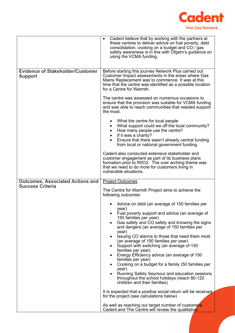

|                                                           | Cadent believe that by working with the partners at<br>these centres to deliver advice on fuel poverty, debt<br>consolidation, cooking on a budget and CO / gas<br>safety awareness is in line with Ofgem's guidance on<br>using the VCMA funding.                                                                                                                                                                                                                                                                                                                                                                                                                                                                                                                                                                                                                                                                                                                                                            |
|-----------------------------------------------------------|---------------------------------------------------------------------------------------------------------------------------------------------------------------------------------------------------------------------------------------------------------------------------------------------------------------------------------------------------------------------------------------------------------------------------------------------------------------------------------------------------------------------------------------------------------------------------------------------------------------------------------------------------------------------------------------------------------------------------------------------------------------------------------------------------------------------------------------------------------------------------------------------------------------------------------------------------------------------------------------------------------------|
| <b>Evidence of Stakeholder/Customer</b><br><b>Support</b> | Before starting this journey Network Plus carried out<br>Customer Impact assessments in the areas where Gas<br>Mains Replacement was to commence. It was at this<br>time that the centre was identified as a possible location<br>for a Centre for Warmth.<br>The centre was assessed on numerous occasions to<br>ensure that the provision was suitable for VCMA funding<br>and was able to reach communities that needed support<br>the most.<br>What the centre for local people<br>٠<br>What support could we off the local community?<br>$\bullet$<br>How many people use the centre?<br>$\bullet$<br>If it was a charity?<br>$\bullet$<br>Ensure that there wasn't already central funding<br>from local or national government funding.<br>Cadent also conducted extensive stakeholder and<br>customer engagement as part of its business plans<br>formation prior to RIIO2. The over arching theme was<br>that we need to do more for customers living in<br>vulnerable situations.                   |
| <b>Outcomes, Associated Actions and</b>                   | <b>Project Outcomes</b>                                                                                                                                                                                                                                                                                                                                                                                                                                                                                                                                                                                                                                                                                                                                                                                                                                                                                                                                                                                       |
| <b>Success Criteria</b>                                   | The Centre for Warmth Project aims to achieve the<br>following outcomes:<br>Advice on debt (an average of 150 families per<br>year)<br>Fuel poverty support and advice (an average of<br>$\bullet$<br>150 families per year)<br>Gas safety and CO safety and knowing the signs<br>and dangers (an average of 150 families per<br>year)<br>Issuing CO alarms to those that need them most<br>$\bullet$<br>(an average of 150 families per year)<br>Support with switching (an average of 150<br>families per year)<br>Energy Efficiency advice (an average of 150<br>families per year)<br>Cooking on a budget for a family (50 families per<br>year)<br>Running Safety Seymour and education sessions<br>throughout the school holidays (reach 80-120<br>children and their families)<br>It is expected that a positive social return will be received<br>for the project (see calculations below)<br>As well as reaching our target number of customers<br>Cadent and The Centre will review the qualitative |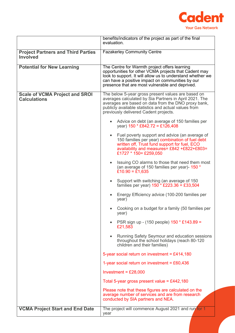

|                                                              | benefits/indicators of the project as part of the final<br>evaluation.                                                                                                                                                                                                      |  |
|--------------------------------------------------------------|-----------------------------------------------------------------------------------------------------------------------------------------------------------------------------------------------------------------------------------------------------------------------------|--|
| <b>Project Partners and Third Parties</b><br><b>Involved</b> | <b>Fazakerley Community Centre</b>                                                                                                                                                                                                                                          |  |
| <b>Potential for New Learning</b>                            | The Centre for Warmth project offers learning<br>opportunities for other VCMA projects that Cadent may<br>look to support. It will allow us to understand whether we<br>can have a positive impact on communities by our<br>presence that are most vulnerable and deprived. |  |
| <b>Scale of VCMA Project and SROI</b><br><b>Calculations</b> | The below 5-year gross present values are based on<br>averages calculated by Sia Partners in April 2021. The<br>averages are based on data from the DNO proxy bank,<br>publicly available statistics and actual values from<br>previously delivered Cadent projects.        |  |
|                                                              | Advice on debt (an average of 150 families per<br>$\bullet$<br>year) $150 * £842.72 = £126,408$                                                                                                                                                                             |  |
|                                                              | Fuel poverty support and advice (an average of<br>$\bullet$<br>150 families per year) combination of fuel debt<br>written off, Trust fund support for fuel, ECO<br>availability and measures= £842 +£822+£803=<br>£1727 * 150 = £259,050                                    |  |
|                                                              | Issuing CO alarms to those that need them most<br>(an average of 150 families per year)- 150 *<br>£10.90 = £1,635                                                                                                                                                           |  |
|                                                              | Support with switching (an average of 150<br>$\bullet$<br>families per year) $150 * £223.36 = £33,504$                                                                                                                                                                      |  |
|                                                              | Energy Efficiency advice (100-200 families per<br>year)                                                                                                                                                                                                                     |  |
|                                                              | Cooking on a budget for a family (50 families per<br>year)                                                                                                                                                                                                                  |  |
|                                                              | PSR sign up - (150 people) 150 * £143.89 =<br>£21,583                                                                                                                                                                                                                       |  |
|                                                              | Running Safety Seymour and education sessions<br>$\bullet$<br>throughout the school holidays (reach 80-120<br>children and their families)                                                                                                                                  |  |
|                                                              | 5-year social return on investment = £414,180<br>1-year social return on investment = $£60,436$                                                                                                                                                                             |  |
|                                                              |                                                                                                                                                                                                                                                                             |  |
|                                                              | Investment = $£28,000$                                                                                                                                                                                                                                                      |  |
|                                                              | Total 5-year gross present value = £442,180                                                                                                                                                                                                                                 |  |
|                                                              | Please note that these figures are calculated on the<br>average number of services and are from research<br>conducted by SIA partners and NEA.                                                                                                                              |  |
| <b>VCMA Project Start and End Date</b>                       | The project will commence August 2021 and run for 1<br>year                                                                                                                                                                                                                 |  |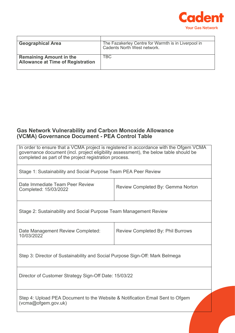

| <b>Geographical Area</b>                                                   | The Fazakerley Centre for Warmth is in Liverpool in<br>Cadents North West network. |
|----------------------------------------------------------------------------|------------------------------------------------------------------------------------|
| <b>Remaining Amount in the</b><br><b>Allowance at Time of Registration</b> | <b>TBC</b>                                                                         |

# **Gas Network Vulnerability and Carbon Monoxide Allowance (VCMA) Governance Document - PEA Control Table**

| In order to ensure that a VCMA project is registered in accordance with the Ofgem VCMA<br>governance document (incl. project eligibility assessment), the below table should be<br>completed as part of the project registration process. |                                          |  |
|-------------------------------------------------------------------------------------------------------------------------------------------------------------------------------------------------------------------------------------------|------------------------------------------|--|
| Stage 1: Sustainability and Social Purpose Team PEA Peer Review                                                                                                                                                                           |                                          |  |
| Date Immediate Team Peer Review<br>Completed: 15/03/2022                                                                                                                                                                                  | Review Completed By: Gemma Norton        |  |
| Stage 2: Sustainability and Social Purpose Team Management Review                                                                                                                                                                         |                                          |  |
| Date Management Review Completed:<br>10/03/2022                                                                                                                                                                                           | <b>Review Completed By: Phil Burrows</b> |  |
| Step 3: Director of Sustainability and Social Purpose Sign-Off: Mark Belmega                                                                                                                                                              |                                          |  |
| Director of Customer Strategy Sign-Off Date: 15/03/22                                                                                                                                                                                     |                                          |  |
| Step 4: Upload PEA Document to the Website & Notification Email Sent to Ofgem<br>(vcma@ofgem.gov.uk)                                                                                                                                      |                                          |  |